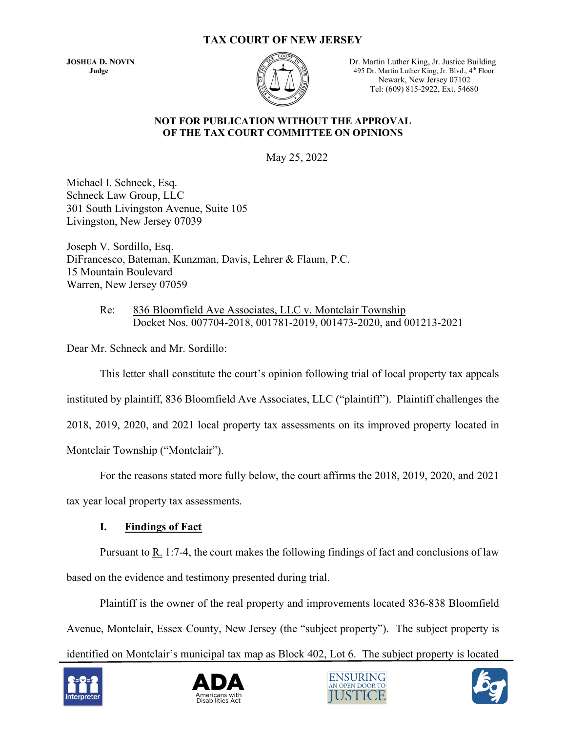### **TAX COURT OF NEW JERSEY**



**JOSHUA D. NOVIN** Dr. Martin Luther King, Jr. Justice Building **Judge** 495 Dr. Martin Luther King, Jr. Blvd., 4<sup>th</sup> Floor Newark, New Jersey 07102 Tel: (609) 815-2922, Ext. 54680

#### **NOT FOR PUBLICATION WITHOUT THE APPROVAL OF THE TAX COURT COMMITTEE ON OPINIONS**

May 25, 2022

Michael I. Schneck, Esq. Schneck Law Group, LLC 301 South Livingston Avenue, Suite 105 Livingston, New Jersey 07039

Joseph V. Sordillo, Esq. DiFrancesco, Bateman, Kunzman, Davis, Lehrer & Flaum, P.C. 15 Mountain Boulevard Warren, New Jersey 07059

> Re: 836 Bloomfield Ave Associates, LLC v. Montclair Township Docket Nos. 007704-2018, 001781-2019, 001473-2020, and 001213-2021

Dear Mr. Schneck and Mr. Sordillo:

This letter shall constitute the court's opinion following trial of local property tax appeals

instituted by plaintiff, 836 Bloomfield Ave Associates, LLC ("plaintiff"). Plaintiff challenges the

2018, 2019, 2020, and 2021 local property tax assessments on its improved property located in

Montclair Township ("Montclair").

For the reasons stated more fully below, the court affirms the 2018, 2019, 2020, and 2021

tax year local property tax assessments.

### **I. Findings of Fact**

Pursuant to R. 1:7-4, the court makes the following findings of fact and conclusions of law based on the evidence and testimony presented during trial.

Plaintiff is the owner of the real property and improvements located 836-838 Bloomfield Avenue, Montclair, Essex County, New Jersey (the "subject property"). The subject property is identified on Montclair's municipal tax map as Block 402, Lot 6. The subject property is located







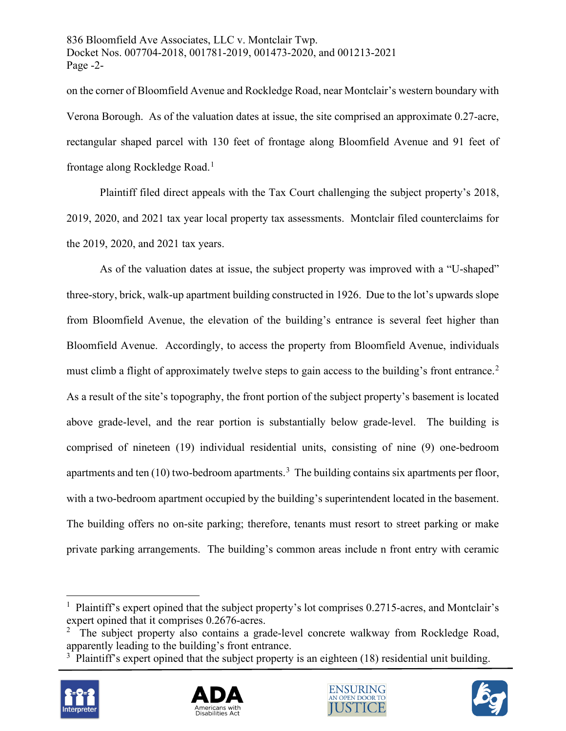836 Bloomfield Ave Associates, LLC v. Montclair Twp. Docket Nos. 007704-2018, 001781-2019, 001473-2020, and 001213-2021 Page -2-

on the corner of Bloomfield Avenue and Rockledge Road, near Montclair's western boundary with Verona Borough. As of the valuation dates at issue, the site comprised an approximate 0.27-acre, rectangular shaped parcel with 130 feet of frontage along Bloomfield Avenue and 91 feet of frontage along Rockledge Road.<sup>[1](#page-1-0)</sup>

Plaintiff filed direct appeals with the Tax Court challenging the subject property's 2018, 2019, 2020, and 2021 tax year local property tax assessments. Montclair filed counterclaims for the 2019, 2020, and 2021 tax years.

As of the valuation dates at issue, the subject property was improved with a "U-shaped" three-story, brick, walk-up apartment building constructed in 1926. Due to the lot's upwards slope from Bloomfield Avenue, the elevation of the building's entrance is several feet higher than Bloomfield Avenue. Accordingly, to access the property from Bloomfield Avenue, individuals must climb a flight of approximately twelve steps to gain access to the building's front entrance.<sup>[2](#page-1-1)</sup> As a result of the site's topography, the front portion of the subject property's basement is located above grade-level, and the rear portion is substantially below grade-level. The building is comprised of nineteen (19) individual residential units, consisting of nine (9) one-bedroom apartments and ten  $(10)$  two-bedroom apartments.<sup>[3](#page-1-2)</sup> The building contains six apartments per floor, with a two-bedroom apartment occupied by the building's superintendent located in the basement. The building offers no on-site parking; therefore, tenants must resort to street parking or make private parking arrangements. The building's common areas include n front entry with ceramic

<span id="page-1-2"></span><span id="page-1-1"></span> $3$  Plaintiff's expert opined that the subject property is an eighteen (18) residential unit building.









<span id="page-1-0"></span><sup>&</sup>lt;sup>1</sup> Plaintiff's expert opined that the subject property's lot comprises 0.2715-acres, and Montclair's expert opined that it comprises 0.2676-acres.

 $2$  The subject property also contains a grade-level concrete walkway from Rockledge Road, apparently leading to the building's front entrance.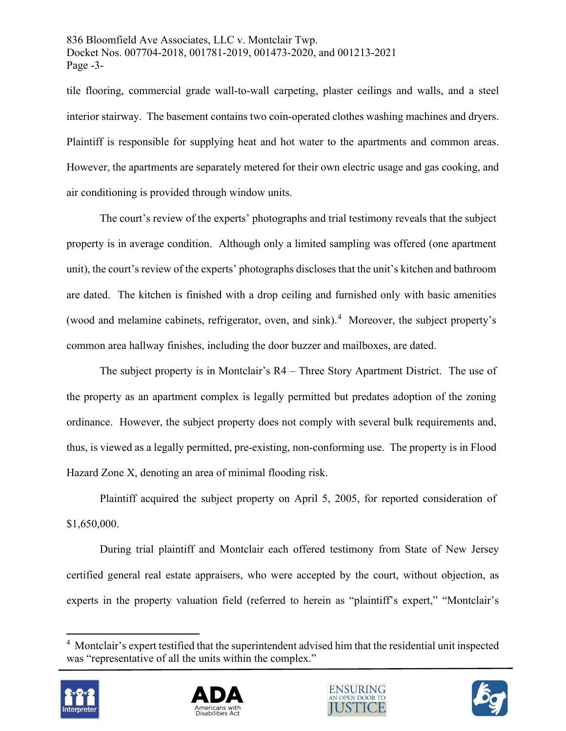836 Bloomfield Ave Associates, LLC v. Montclair Twp. Docket Nos. 007704-2018, 001781-2019, 001473-2020, and 001213-2021 Page -3-

tile flooring, commercial grade wall-to-wall carpeting, plaster ceilings and walls, and a steel interior stairway. The basement contains two coin-operated clothes washing machines and dryers. Plaintiff is responsible for supplying heat and hot water to the apartments and common areas. However, the apartments are separately metered for their own electric usage and gas cooking, and air conditioning is provided through window units.

The court's review of the experts' photographs and trial testimony reveals that the subject property is in average condition. Although only a limited sampling was offered (one apartment unit), the court's review of the experts' photographs discloses that the unit's kitchen and bathroom are dated. The kitchen is finished with a drop ceiling and furnished only with basic amenities (wood and melamine cabinets, refrigerator, oven, and sink).<sup>[4](#page-2-0)</sup> Moreover, the subject property's common area hallway finishes, including the door buzzer and mailboxes, are dated.

The subject property is in Montclair's R4 – Three Story Apartment District. The use of the property as an apartment complex is legally permitted but predates adoption of the zoning ordinance. However, the subject property does not comply with several bulk requirements and, thus, is viewed as a legally permitted, pre-existing, non-conforming use. The property is in Flood Hazard Zone X, denoting an area of minimal flooding risk.

Plaintiff acquired the subject property on April 5, 2005, for reported consideration of \$1,650,000.

During trial plaintiff and Montclair each offered testimony from State of New Jersey certified general real estate appraisers, who were accepted by the court, without objection, as experts in the property valuation field (referred to herein as "plaintiff's expert," "Montclair's

<span id="page-2-0"></span><sup>&</sup>lt;sup>4</sup> Montclair's expert testified that the superintendent advised him that the residential unit inspected was "representative of all the units within the complex."







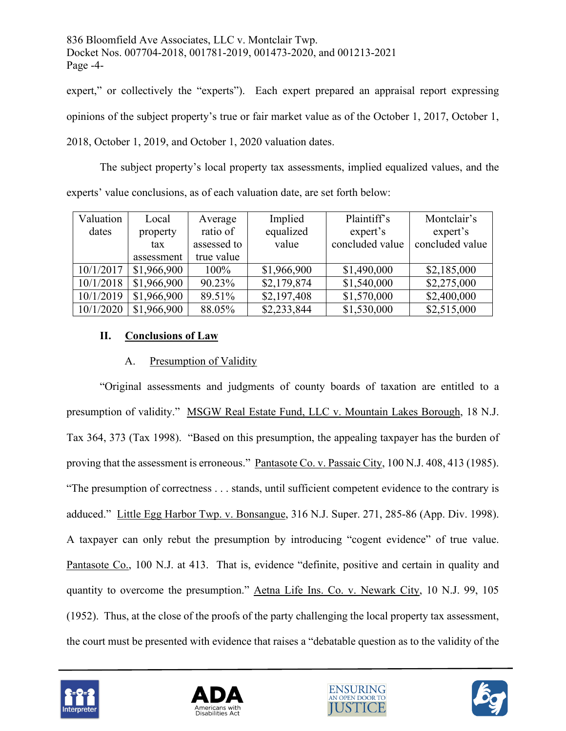836 Bloomfield Ave Associates, LLC v. Montclair Twp. Docket Nos. 007704-2018, 001781-2019, 001473-2020, and 001213-2021 Page -4-

expert," or collectively the "experts"). Each expert prepared an appraisal report expressing opinions of the subject property's true or fair market value as of the October 1, 2017, October 1, 2018, October 1, 2019, and October 1, 2020 valuation dates.

 The subject property's local property tax assessments, implied equalized values, and the experts' value conclusions, as of each valuation date, are set forth below:

| Valuation | Local       | Average     | Implied     | Plaintiff's     | Montclair's     |
|-----------|-------------|-------------|-------------|-----------------|-----------------|
| dates     | property    | ratio of    | equalized   | expert's        | expert's        |
|           | tax         | assessed to | value       | concluded value | concluded value |
|           | assessment  | true value  |             |                 |                 |
| 10/1/2017 | \$1,966,900 | 100%        | \$1,966,900 | \$1,490,000     | \$2,185,000     |
| 10/1/2018 | \$1,966,900 | 90.23%      | \$2,179,874 | \$1,540,000     | \$2,275,000     |
| 10/1/2019 | \$1,966,900 | 89.51%      | \$2,197,408 | \$1,570,000     | \$2,400,000     |
| 10/1/2020 | \$1,966,900 | 88.05%      | \$2,233,844 | \$1,530,000     | \$2,515,000     |

# **II. Conclusions of Law**

# A. Presumption of Validity

"Original assessments and judgments of county boards of taxation are entitled to a presumption of validity." MSGW Real Estate Fund, LLC v. Mountain Lakes Borough, 18 N.J. Tax 364, 373 (Tax 1998). "Based on this presumption, the appealing taxpayer has the burden of proving that the assessment is erroneous." Pantasote Co. v. Passaic City, 100 N.J. 408, 413 (1985). "The presumption of correctness . . . stands, until sufficient competent evidence to the contrary is adduced." Little Egg Harbor Twp. v. Bonsangue, 316 N.J. Super. 271, 285-86 (App. Div. 1998). A taxpayer can only rebut the presumption by introducing "cogent evidence" of true value. Pantasote Co., 100 N.J. at 413. That is, evidence "definite, positive and certain in quality and quantity to overcome the presumption." Aetna Life Ins. Co. v. Newark City, 10 N.J. 99, 105 (1952). Thus, at the close of the proofs of the party challenging the local property tax assessment, the court must be presented with evidence that raises a "debatable question as to the validity of the







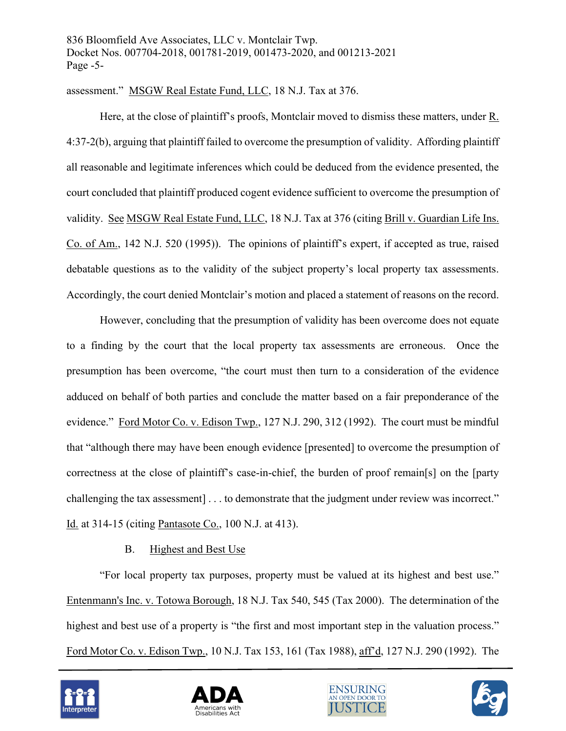assessment." MSGW Real Estate Fund, LLC, 18 N.J. Tax at 376.

Here, at the close of plaintiff's proofs, Montclair moved to dismiss these matters, under R. 4:37-2(b), arguing that plaintiff failed to overcome the presumption of validity. Affording plaintiff all reasonable and legitimate inferences which could be deduced from the evidence presented, the court concluded that plaintiff produced cogent evidence sufficient to overcome the presumption of validity. See MSGW Real Estate Fund, LLC, 18 N.J. Tax at 376 (citing Brill v. Guardian Life Ins. Co. of Am., 142 N.J. 520 (1995)). The opinions of plaintiff's expert, if accepted as true, raised debatable questions as to the validity of the subject property's local property tax assessments. Accordingly, the court denied Montclair's motion and placed a statement of reasons on the record.

However, concluding that the presumption of validity has been overcome does not equate to a finding by the court that the local property tax assessments are erroneous. Once the presumption has been overcome, "the court must then turn to a consideration of the evidence adduced on behalf of both parties and conclude the matter based on a fair preponderance of the evidence." Ford Motor Co. v. Edison Twp., 127 N.J. 290, 312 (1992). The court must be mindful that "although there may have been enough evidence [presented] to overcome the presumption of correctness at the close of plaintiff's case-in-chief, the burden of proof remain[s] on the [party challenging the tax assessment] . . . to demonstrate that the judgment under review was incorrect." Id. at 314-15 (citing Pantasote Co., 100 N.J. at 413).

### B. Highest and Best Use

"For local property tax purposes, property must be valued at its highest and best use." Entenmann's Inc. v. Totowa Borough, 18 N.J. Tax 540, 545 (Tax 2000). The determination of the highest and best use of a property is "the first and most important step in the valuation process." Ford Motor Co. v. Edison Twp., 10 N.J. Tax 153, 161 (Tax 1988), aff'd, 127 N.J. 290 (1992). The







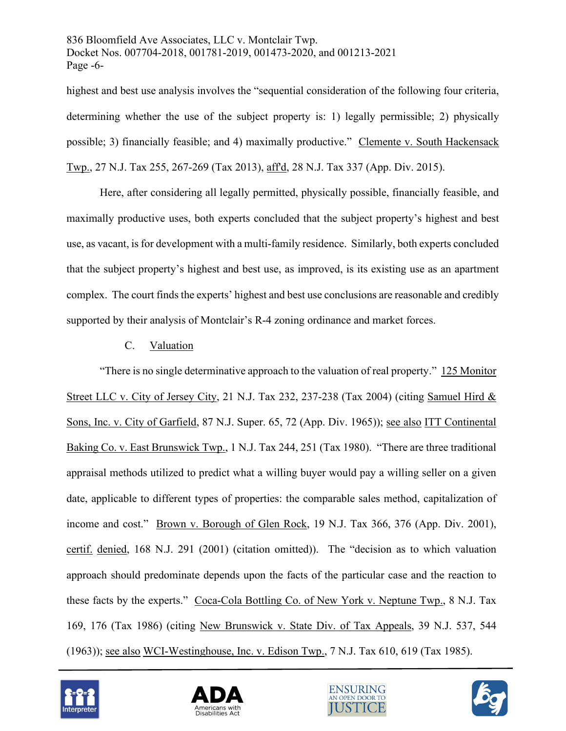836 Bloomfield Ave Associates, LLC v. Montclair Twp. Docket Nos. 007704-2018, 001781-2019, 001473-2020, and 001213-2021 Page -6-

highest and best use analysis involves the "sequential consideration of the following four criteria, determining whether the use of the subject property is: 1) legally permissible; 2) physically possible; 3) financially feasible; and 4) maximally productive." Clemente v. South Hackensack Twp., 27 N.J. Tax 255, 267-269 (Tax 2013), aff'd, 28 N.J. Tax 337 (App. Div. 2015).

Here, after considering all legally permitted, physically possible, financially feasible, and maximally productive uses, both experts concluded that the subject property's highest and best use, as vacant, is for development with a multi-family residence. Similarly, both experts concluded that the subject property's highest and best use, as improved, is its existing use as an apartment complex. The court finds the experts' highest and best use conclusions are reasonable and credibly supported by their analysis of Montclair's R-4 zoning ordinance and market forces.

### C. Valuation

"There is no single determinative approach to the valuation of real property." 125 Monitor Street LLC v. City of Jersey City, 21 N.J. Tax 232, 237-238 (Tax 2004) (citing Samuel Hird & Sons, Inc. v. City of Garfield, 87 N.J. Super. 65, 72 (App. Div. 1965)); see also ITT Continental Baking Co. v. East Brunswick Twp., 1 N.J. Tax 244, 251 (Tax 1980). "There are three traditional appraisal methods utilized to predict what a willing buyer would pay a willing seller on a given date, applicable to different types of properties: the comparable sales method, capitalization of income and cost." Brown v. Borough of Glen Rock, 19 N.J. Tax 366, 376 (App. Div. 2001), certif. denied, 168 N.J. 291 (2001) (citation omitted)). The "decision as to which valuation approach should predominate depends upon the facts of the particular case and the reaction to these facts by the experts." Coca-Cola Bottling Co. of New York v. Neptune Twp., 8 N.J. Tax 169, 176 (Tax 1986) (citing New Brunswick v. State Div. of Tax Appeals, 39 N.J. 537, 544 (1963)); see also WCI-Westinghouse, Inc. v. Edison Twp., 7 N.J. Tax 610, 619 (Tax 1985).







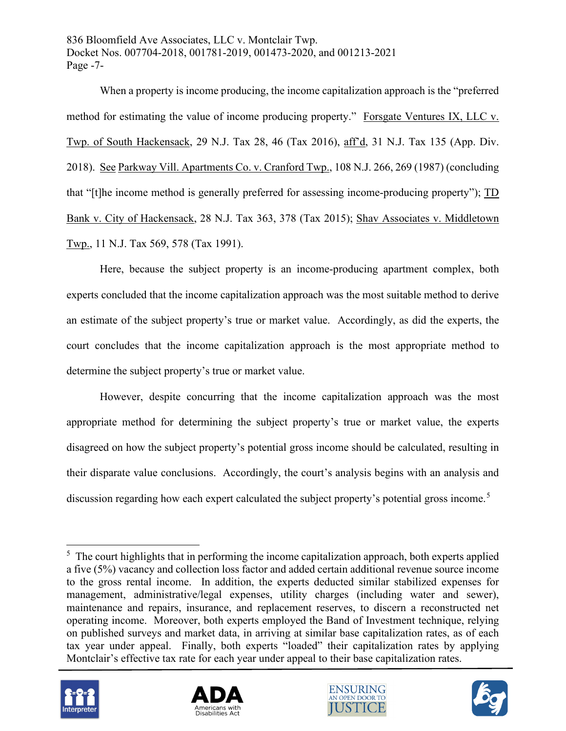836 Bloomfield Ave Associates, LLC v. Montclair Twp. Docket Nos. 007704-2018, 001781-2019, 001473-2020, and 001213-2021 Page -7-

When a property is income producing, the income capitalization approach is the "preferred method for estimating the value of income producing property." Forsgate Ventures IX, LLC v. Twp. of South Hackensack, 29 N.J. Tax 28, 46 (Tax 2016), aff'd, 31 N.J. Tax 135 (App. Div. 2018). See Parkway Vill. Apartments Co. v. Cranford Twp., 108 N.J. 266, 269 (1987) (concluding that "[t]he income method is generally preferred for assessing income-producing property"); TD Bank v. City of Hackensack, 28 N.J. Tax 363, 378 (Tax 2015); Shav Associates v. Middletown Twp., 11 N.J. Tax 569, 578 (Tax 1991).

Here, because the subject property is an income-producing apartment complex, both experts concluded that the income capitalization approach was the most suitable method to derive an estimate of the subject property's true or market value. Accordingly, as did the experts, the court concludes that the income capitalization approach is the most appropriate method to determine the subject property's true or market value.

However, despite concurring that the income capitalization approach was the most appropriate method for determining the subject property's true or market value, the experts disagreed on how the subject property's potential gross income should be calculated, resulting in their disparate value conclusions. Accordingly, the court's analysis begins with an analysis and discussion regarding how each expert calculated the subject property's potential gross income.<sup>[5](#page-6-0)</sup>

<span id="page-6-0"></span> $5$  The court highlights that in performing the income capitalization approach, both experts applied a five (5%) vacancy and collection loss factor and added certain additional revenue source income to the gross rental income. In addition, the experts deducted similar stabilized expenses for management, administrative/legal expenses, utility charges (including water and sewer), maintenance and repairs, insurance, and replacement reserves, to discern a reconstructed net operating income. Moreover, both experts employed the Band of Investment technique, relying on published surveys and market data, in arriving at similar base capitalization rates, as of each tax year under appeal. Finally, both experts "loaded" their capitalization rates by applying Montclair's effective tax rate for each year under appeal to their base capitalization rates.







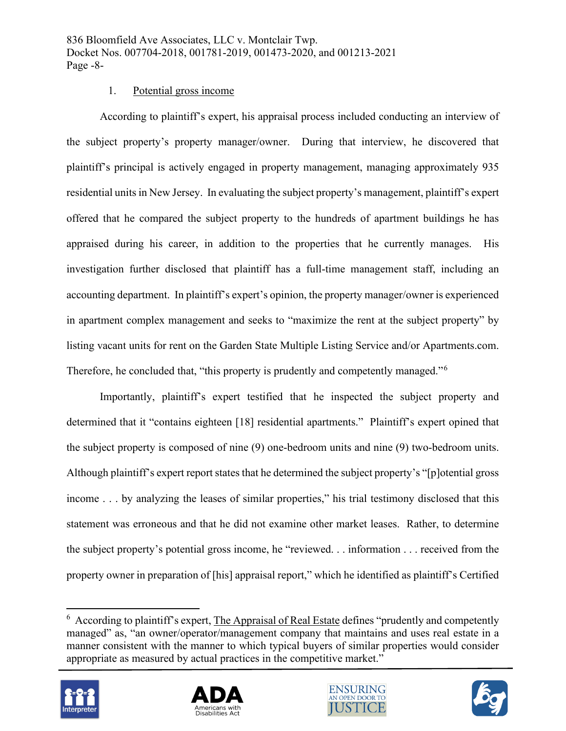### 1. Potential gross income

According to plaintiff's expert, his appraisal process included conducting an interview of the subject property's property manager/owner. During that interview, he discovered that plaintiff's principal is actively engaged in property management, managing approximately 935 residential units in New Jersey. In evaluating the subject property's management, plaintiff's expert offered that he compared the subject property to the hundreds of apartment buildings he has appraised during his career, in addition to the properties that he currently manages. His investigation further disclosed that plaintiff has a full-time management staff, including an accounting department. In plaintiff's expert's opinion, the property manager/owner is experienced in apartment complex management and seeks to "maximize the rent at the subject property" by listing vacant units for rent on the Garden State Multiple Listing Service and/or Apartments.com. Therefore, he concluded that, "this property is prudently and competently managed."<sup>[6](#page-7-0)</sup>

Importantly, plaintiff's expert testified that he inspected the subject property and determined that it "contains eighteen [18] residential apartments." Plaintiff's expert opined that the subject property is composed of nine (9) one-bedroom units and nine (9) two-bedroom units. Although plaintiff's expert report states that he determined the subject property's "[p]otential gross income . . . by analyzing the leases of similar properties," his trial testimony disclosed that this statement was erroneous and that he did not examine other market leases. Rather, to determine the subject property's potential gross income, he "reviewed. . . information . . . received from the property owner in preparation of [his] appraisal report," which he identified as plaintiff's Certified

<span id="page-7-0"></span> $6$  According to plaintiff's expert, The Appraisal of Real Estate defines "prudently and competently managed" as, "an owner/operator/management company that maintains and uses real estate in a manner consistent with the manner to which typical buyers of similar properties would consider appropriate as measured by actual practices in the competitive market."







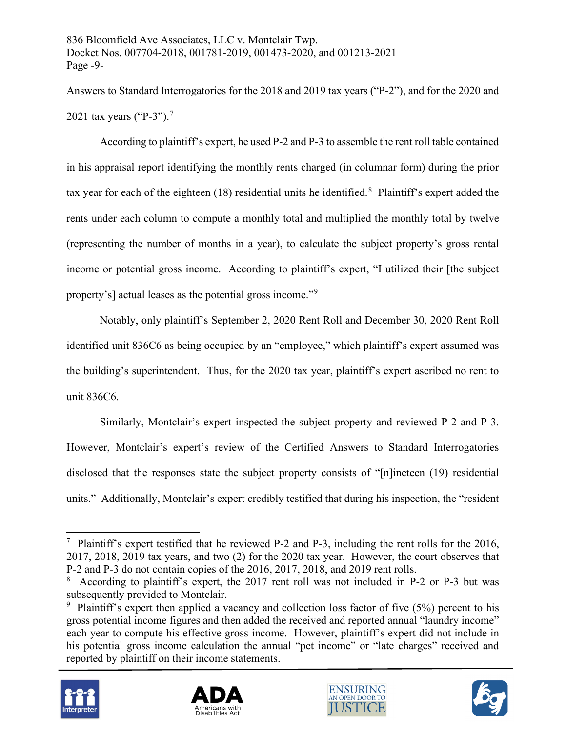Answers to Standard Interrogatories for the 2018 and 2019 tax years ("P-2"), and for the 2020 and 2021 tax years ("P-3").<sup>[7](#page-8-0)</sup>

According to plaintiff's expert, he used P-2 and P-3 to assemble the rent roll table contained in his appraisal report identifying the monthly rents charged (in columnar form) during the prior tax year for each of the eighteen (1[8](#page-8-1)) residential units he identified.<sup>8</sup> Plaintiff's expert added the rents under each column to compute a monthly total and multiplied the monthly total by twelve (representing the number of months in a year), to calculate the subject property's gross rental income or potential gross income. According to plaintiff's expert, "I utilized their [the subject property's] actual leases as the potential gross income."[9](#page-8-2)

Notably, only plaintiff's September 2, 2020 Rent Roll and December 30, 2020 Rent Roll identified unit 836C6 as being occupied by an "employee," which plaintiff's expert assumed was the building's superintendent. Thus, for the 2020 tax year, plaintiff's expert ascribed no rent to unit 836C6.

Similarly, Montclair's expert inspected the subject property and reviewed P-2 and P-3. However, Montclair's expert's review of the Certified Answers to Standard Interrogatories disclosed that the responses state the subject property consists of "[n]ineteen (19) residential units." Additionally, Montclair's expert credibly testified that during his inspection, the "resident

<span id="page-8-2"></span><span id="page-8-1"></span><sup>&</sup>lt;sup>9</sup> Plaintiff's expert then applied a vacancy and collection loss factor of five  $(5%)$  percent to his gross potential income figures and then added the received and reported annual "laundry income" each year to compute his effective gross income. However, plaintiff's expert did not include in his potential gross income calculation the annual "pet income" or "late charges" received and reported by plaintiff on their income statements.









<span id="page-8-0"></span><sup>&</sup>lt;sup>7</sup> Plaintiff's expert testified that he reviewed P-2 and P-3, including the rent rolls for the 2016, 2017, 2018, 2019 tax years, and two (2) for the 2020 tax year. However, the court observes that P-2 and P-3 do not contain copies of the 2016, 2017, 2018, and 2019 rent rolls.

<sup>&</sup>lt;sup>8</sup> According to plaintiff's expert, the 2017 rent roll was not included in P-2 or P-3 but was subsequently provided to Montclair.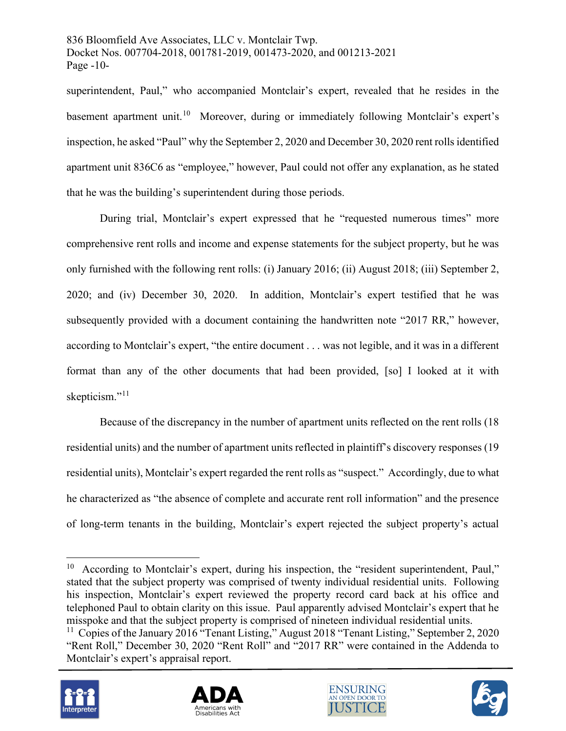836 Bloomfield Ave Associates, LLC v. Montclair Twp. Docket Nos. 007704-2018, 001781-2019, 001473-2020, and 001213-2021 Page -10-

superintendent, Paul," who accompanied Montclair's expert, revealed that he resides in the basement apartment unit.<sup>10</sup> Moreover, during or immediately following Montclair's expert's inspection, he asked "Paul" why the September 2, 2020 and December 30, 2020 rent rolls identified apartment unit 836C6 as "employee," however, Paul could not offer any explanation, as he stated that he was the building's superintendent during those periods.

During trial, Montclair's expert expressed that he "requested numerous times" more comprehensive rent rolls and income and expense statements for the subject property, but he was only furnished with the following rent rolls: (i) January 2016; (ii) August 2018; (iii) September 2, 2020; and (iv) December 30, 2020. In addition, Montclair's expert testified that he was subsequently provided with a document containing the handwritten note "2017 RR," however, according to Montclair's expert, "the entire document . . . was not legible, and it was in a different format than any of the other documents that had been provided, [so] I looked at it with skepticism."<sup>[11](#page-9-1)</sup>

Because of the discrepancy in the number of apartment units reflected on the rent rolls (18 residential units) and the number of apartment units reflected in plaintiff's discovery responses (19 residential units), Montclair's expert regarded the rent rolls as "suspect." Accordingly, due to what he characterized as "the absence of complete and accurate rent roll information" and the presence of long-term tenants in the building, Montclair's expert rejected the subject property's actual

<span id="page-9-1"></span><sup>&</sup>lt;sup>11</sup> Copies of the January 2016 "Tenant Listing," August 2018 "Tenant Listing," September 2, 2020 "Rent Roll," December 30, 2020 "Rent Roll" and "2017 RR" were contained in the Addenda to Montclair's expert's appraisal report.









<span id="page-9-0"></span> $10$  According to Montclair's expert, during his inspection, the "resident superintendent, Paul," stated that the subject property was comprised of twenty individual residential units. Following his inspection, Montclair's expert reviewed the property record card back at his office and telephoned Paul to obtain clarity on this issue. Paul apparently advised Montclair's expert that he misspoke and that the subject property is comprised of nineteen individual residential units.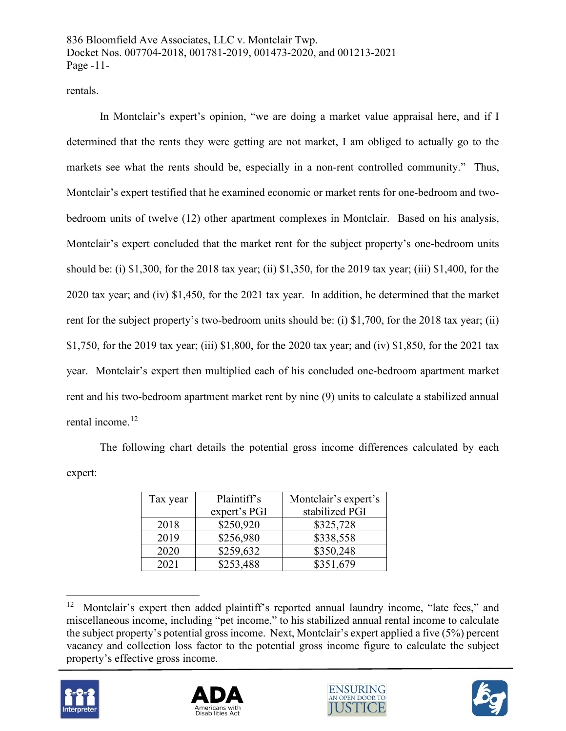rentals.

In Montclair's expert's opinion, "we are doing a market value appraisal here, and if I determined that the rents they were getting are not market, I am obliged to actually go to the markets see what the rents should be, especially in a non-rent controlled community." Thus, Montclair's expert testified that he examined economic or market rents for one-bedroom and twobedroom units of twelve (12) other apartment complexes in Montclair. Based on his analysis, Montclair's expert concluded that the market rent for the subject property's one-bedroom units should be: (i) \$1,300, for the 2018 tax year; (ii) \$1,350, for the 2019 tax year; (iii) \$1,400, for the 2020 tax year; and (iv) \$1,450, for the 2021 tax year. In addition, he determined that the market rent for the subject property's two-bedroom units should be: (i) \$1,700, for the 2018 tax year; (ii) \$1,750, for the 2019 tax year; (iii) \$1,800, for the 2020 tax year; and (iv) \$1,850, for the 2021 tax year. Montclair's expert then multiplied each of his concluded one-bedroom apartment market rent and his two-bedroom apartment market rent by nine (9) units to calculate a stabilized annual rental income.<sup>[12](#page-10-0)</sup>

The following chart details the potential gross income differences calculated by each expert:

| Tax year | Plaintiff's  | Montclair's expert's |  |
|----------|--------------|----------------------|--|
|          | expert's PGI | stabilized PGI       |  |
| 2018     | \$250,920    | \$325,728            |  |
| 2019     | \$256,980    | \$338,558            |  |
| 2020     | \$259,632    | \$350,248            |  |
| 2021     | \$253,488    | \$351,679            |  |

<span id="page-10-0"></span><sup>&</sup>lt;sup>12</sup> Montclair's expert then added plaintiff's reported annual laundry income, "late fees," and miscellaneous income, including "pet income," to his stabilized annual rental income to calculate the subject property's potential gross income. Next, Montclair's expert applied a five (5%) percent vacancy and collection loss factor to the potential gross income figure to calculate the subject property's effective gross income.







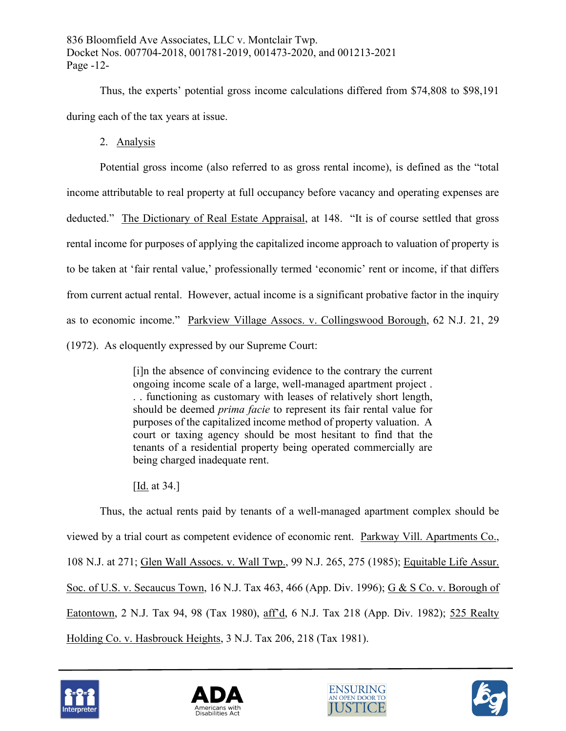Thus, the experts' potential gross income calculations differed from \$74,808 to \$98,191 during each of the tax years at issue.

2. Analysis

Potential gross income (also referred to as gross rental income), is defined as the "total income attributable to real property at full occupancy before vacancy and operating expenses are deducted." The Dictionary of Real Estate Appraisal, at 148. "It is of course settled that gross rental income for purposes of applying the capitalized income approach to valuation of property is to be taken at 'fair rental value,' professionally termed 'economic' rent or income, if that differs from current actual rental. However, actual income is a significant probative factor in the inquiry as to economic income." Parkview Village Assocs. v. Collingswood Borough, 62 N.J. 21, 29 (1972). As eloquently expressed by our Supreme Court:

> [i]n the absence of convincing evidence to the contrary the current ongoing income scale of a large, well-managed apartment project . . . functioning as customary with leases of relatively short length, should be deemed *prima facie* to represent its fair rental value for purposes of the capitalized income method of property valuation. A court or taxing agency should be most hesitant to find that the tenants of a residential property being operated commercially are being charged inadequate rent.

[<u>Id.</u> at 34.]

Thus, the actual rents paid by tenants of a well-managed apartment complex should be viewed by a trial court as competent evidence of economic rent. Parkway Vill. Apartments Co., 108 N.J. at 271; Glen Wall Assocs. v. Wall Twp., 99 N.J. 265, 275 (1985); Equitable Life Assur. Soc. of U.S. v. Secaucus Town, 16 N.J. Tax 463, 466 (App. Div. 1996); G & S Co. v. Borough of Eatontown, 2 N.J. Tax 94, 98 (Tax 1980), aff'd, 6 N.J. Tax 218 (App. Div. 1982); 525 Realty Holding Co. v. Hasbrouck Heights, 3 N.J. Tax 206, 218 (Tax 1981).







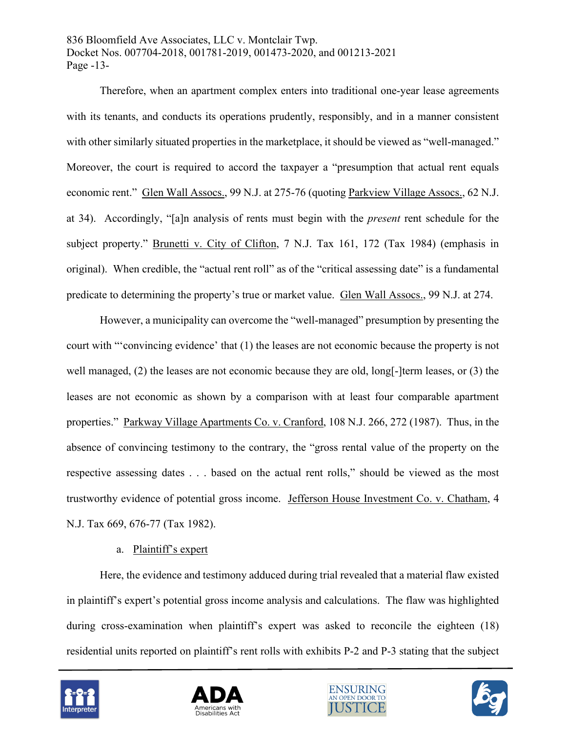836 Bloomfield Ave Associates, LLC v. Montclair Twp. Docket Nos. 007704-2018, 001781-2019, 001473-2020, and 001213-2021 Page -13-

Therefore, when an apartment complex enters into traditional one-year lease agreements with its tenants, and conducts its operations prudently, responsibly, and in a manner consistent with other similarly situated properties in the marketplace, it should be viewed as "well-managed." Moreover, the court is required to accord the taxpayer a "presumption that actual rent equals economic rent." Glen Wall Assocs., 99 N.J. at 275-76 (quoting Parkview Village Assocs., 62 N.J. at 34). Accordingly, "[a]n analysis of rents must begin with the *present* rent schedule for the subject property." Brunetti v. City of Clifton, 7 N.J. Tax 161, 172 (Tax 1984) (emphasis in original). When credible, the "actual rent roll" as of the "critical assessing date" is a fundamental predicate to determining the property's true or market value. Glen Wall Assocs., 99 N.J. at 274.

However, a municipality can overcome the "well-managed" presumption by presenting the court with "'convincing evidence' that (1) the leases are not economic because the property is not well managed, (2) the leases are not economic because they are old, long[-]term leases, or (3) the leases are not economic as shown by a comparison with at least four comparable apartment properties." Parkway Village Apartments Co. v. Cranford, 108 N.J. 266, 272 (1987). Thus, in the absence of convincing testimony to the contrary, the "gross rental value of the property on the respective assessing dates . . . based on the actual rent rolls," should be viewed as the most trustworthy evidence of potential gross income. Jefferson House Investment Co. v. Chatham, 4 N.J. Tax 669, 676-77 (Tax 1982).

### a. Plaintiff's expert

Here, the evidence and testimony adduced during trial revealed that a material flaw existed in plaintiff's expert's potential gross income analysis and calculations. The flaw was highlighted during cross-examination when plaintiff's expert was asked to reconcile the eighteen (18) residential units reported on plaintiff's rent rolls with exhibits P-2 and P-3 stating that the subject







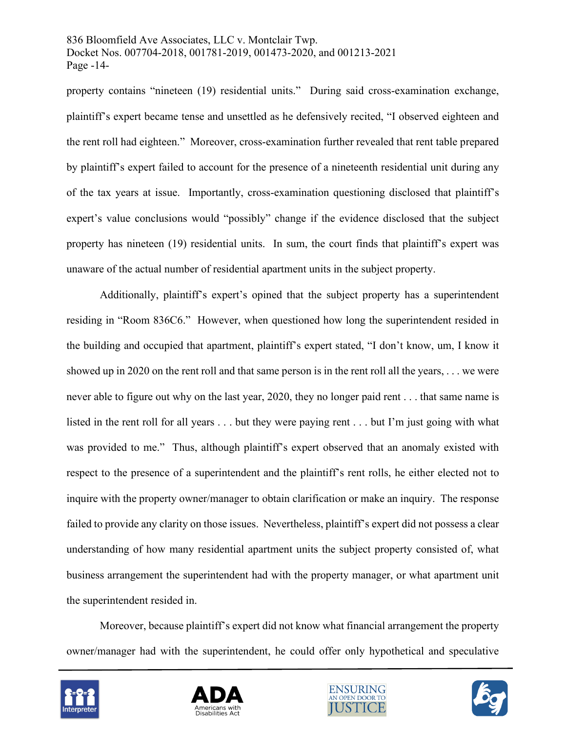836 Bloomfield Ave Associates, LLC v. Montclair Twp. Docket Nos. 007704-2018, 001781-2019, 001473-2020, and 001213-2021 Page -14-

property contains "nineteen (19) residential units." During said cross-examination exchange, plaintiff's expert became tense and unsettled as he defensively recited, "I observed eighteen and the rent roll had eighteen." Moreover, cross-examination further revealed that rent table prepared by plaintiff's expert failed to account for the presence of a nineteenth residential unit during any of the tax years at issue. Importantly, cross-examination questioning disclosed that plaintiff's expert's value conclusions would "possibly" change if the evidence disclosed that the subject property has nineteen (19) residential units. In sum, the court finds that plaintiff's expert was unaware of the actual number of residential apartment units in the subject property.

Additionally, plaintiff's expert's opined that the subject property has a superintendent residing in "Room 836C6." However, when questioned how long the superintendent resided in the building and occupied that apartment, plaintiff's expert stated, "I don't know, um, I know it showed up in 2020 on the rent roll and that same person is in the rent roll all the years, . . . we were never able to figure out why on the last year, 2020, they no longer paid rent . . . that same name is listed in the rent roll for all years . . . but they were paying rent . . . but I'm just going with what was provided to me." Thus, although plaintiff's expert observed that an anomaly existed with respect to the presence of a superintendent and the plaintiff's rent rolls, he either elected not to inquire with the property owner/manager to obtain clarification or make an inquiry. The response failed to provide any clarity on those issues. Nevertheless, plaintiff's expert did not possess a clear understanding of how many residential apartment units the subject property consisted of, what business arrangement the superintendent had with the property manager, or what apartment unit the superintendent resided in.

Moreover, because plaintiff's expert did not know what financial arrangement the property owner/manager had with the superintendent, he could offer only hypothetical and speculative







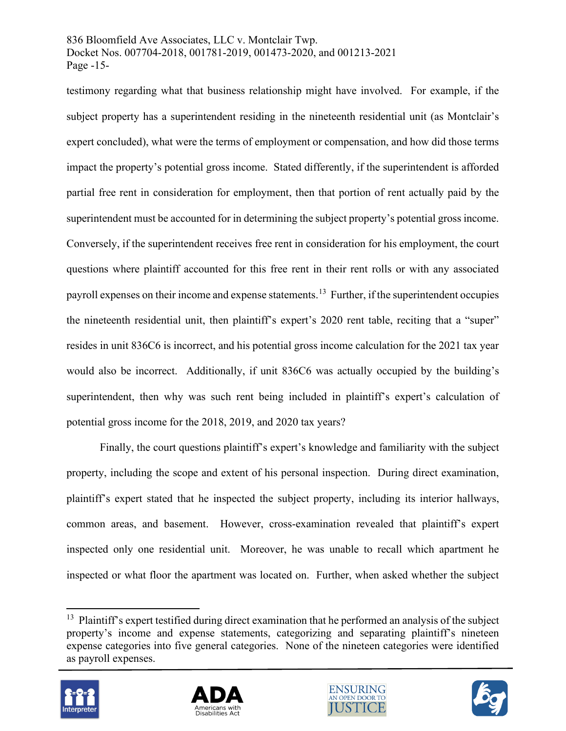### 836 Bloomfield Ave Associates, LLC v. Montclair Twp. Docket Nos. 007704-2018, 001781-2019, 001473-2020, and 001213-2021 Page -15-

testimony regarding what that business relationship might have involved. For example, if the subject property has a superintendent residing in the nineteenth residential unit (as Montclair's expert concluded), what were the terms of employment or compensation, and how did those terms impact the property's potential gross income. Stated differently, if the superintendent is afforded partial free rent in consideration for employment, then that portion of rent actually paid by the superintendent must be accounted for in determining the subject property's potential gross income. Conversely, if the superintendent receives free rent in consideration for his employment, the court questions where plaintiff accounted for this free rent in their rent rolls or with any associated payroll expenses on their income and expense statements.<sup>[13](#page-14-0)</sup> Further, if the superintendent occupies the nineteenth residential unit, then plaintiff's expert's 2020 rent table, reciting that a "super" resides in unit 836C6 is incorrect, and his potential gross income calculation for the 2021 tax year would also be incorrect. Additionally, if unit 836C6 was actually occupied by the building's superintendent, then why was such rent being included in plaintiff's expert's calculation of potential gross income for the 2018, 2019, and 2020 tax years?

Finally, the court questions plaintiff's expert's knowledge and familiarity with the subject property, including the scope and extent of his personal inspection. During direct examination, plaintiff's expert stated that he inspected the subject property, including its interior hallways, common areas, and basement. However, cross-examination revealed that plaintiff's expert inspected only one residential unit. Moreover, he was unable to recall which apartment he inspected or what floor the apartment was located on. Further, when asked whether the subject

<span id="page-14-0"></span><sup>&</sup>lt;sup>13</sup> Plaintiff's expert testified during direct examination that he performed an analysis of the subject property's income and expense statements, categorizing and separating plaintiff's nineteen expense categories into five general categories. None of the nineteen categories were identified as payroll expenses.







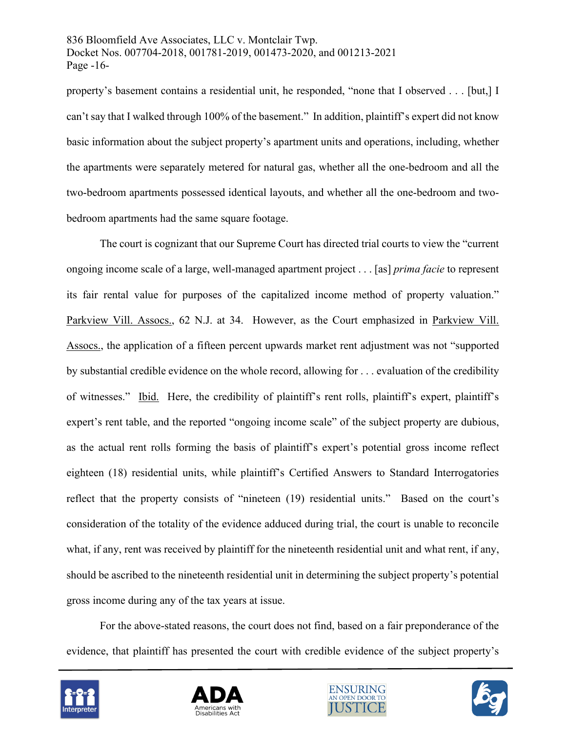836 Bloomfield Ave Associates, LLC v. Montclair Twp. Docket Nos. 007704-2018, 001781-2019, 001473-2020, and 001213-2021 Page -16-

property's basement contains a residential unit, he responded, "none that I observed . . . [but,] I can't say that I walked through 100% of the basement." In addition, plaintiff's expert did not know basic information about the subject property's apartment units and operations, including, whether the apartments were separately metered for natural gas, whether all the one-bedroom and all the two-bedroom apartments possessed identical layouts, and whether all the one-bedroom and twobedroom apartments had the same square footage.

The court is cognizant that our Supreme Court has directed trial courts to view the "current ongoing income scale of a large, well-managed apartment project . . . [as] *prima facie* to represent its fair rental value for purposes of the capitalized income method of property valuation." Parkview Vill. Assocs., 62 N.J. at 34. However, as the Court emphasized in Parkview Vill. Assocs., the application of a fifteen percent upwards market rent adjustment was not "supported by substantial credible evidence on the whole record, allowing for . . . evaluation of the credibility of witnesses." Ibid. Here, the credibility of plaintiff's rent rolls, plaintiff's expert, plaintiff's expert's rent table, and the reported "ongoing income scale" of the subject property are dubious, as the actual rent rolls forming the basis of plaintiff's expert's potential gross income reflect eighteen (18) residential units, while plaintiff's Certified Answers to Standard Interrogatories reflect that the property consists of "nineteen (19) residential units." Based on the court's consideration of the totality of the evidence adduced during trial, the court is unable to reconcile what, if any, rent was received by plaintiff for the nineteenth residential unit and what rent, if any, should be ascribed to the nineteenth residential unit in determining the subject property's potential gross income during any of the tax years at issue.

For the above-stated reasons, the court does not find, based on a fair preponderance of the evidence, that plaintiff has presented the court with credible evidence of the subject property's







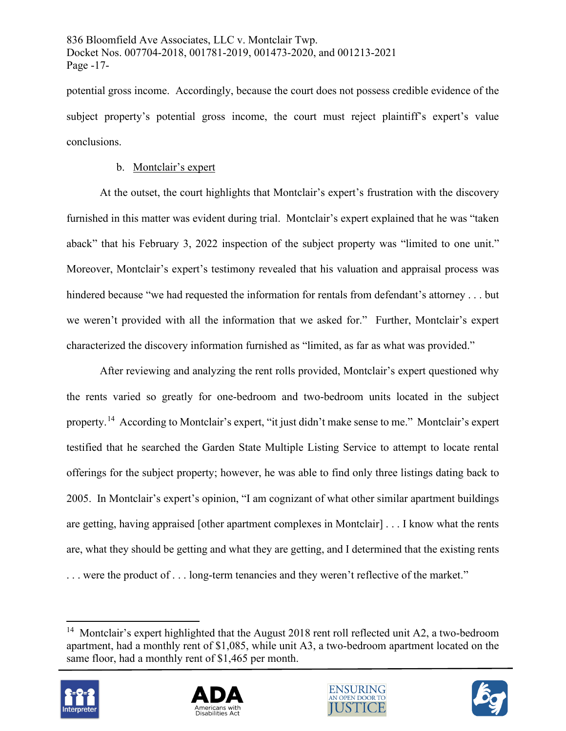potential gross income. Accordingly, because the court does not possess credible evidence of the subject property's potential gross income, the court must reject plaintiff's expert's value conclusions.

## b. Montclair's expert

At the outset, the court highlights that Montclair's expert's frustration with the discovery furnished in this matter was evident during trial. Montclair's expert explained that he was "taken aback" that his February 3, 2022 inspection of the subject property was "limited to one unit." Moreover, Montclair's expert's testimony revealed that his valuation and appraisal process was hindered because "we had requested the information for rentals from defendant's attorney . . . but we weren't provided with all the information that we asked for." Further, Montclair's expert characterized the discovery information furnished as "limited, as far as what was provided."

After reviewing and analyzing the rent rolls provided, Montclair's expert questioned why the rents varied so greatly for one-bedroom and two-bedroom units located in the subject property.[14](#page-16-0) According to Montclair's expert, "it just didn't make sense to me." Montclair's expert testified that he searched the Garden State Multiple Listing Service to attempt to locate rental offerings for the subject property; however, he was able to find only three listings dating back to 2005. In Montclair's expert's opinion, "I am cognizant of what other similar apartment buildings are getting, having appraised [other apartment complexes in Montclair] . . . I know what the rents are, what they should be getting and what they are getting, and I determined that the existing rents ... were the product of ... long-term tenancies and they weren't reflective of the market."

<span id="page-16-0"></span><sup>&</sup>lt;sup>14</sup> Montclair's expert highlighted that the August 2018 rent roll reflected unit A2, a two-bedroom apartment, had a monthly rent of \$1,085, while unit A3, a two-bedroom apartment located on the same floor, had a monthly rent of \$1,465 per month.







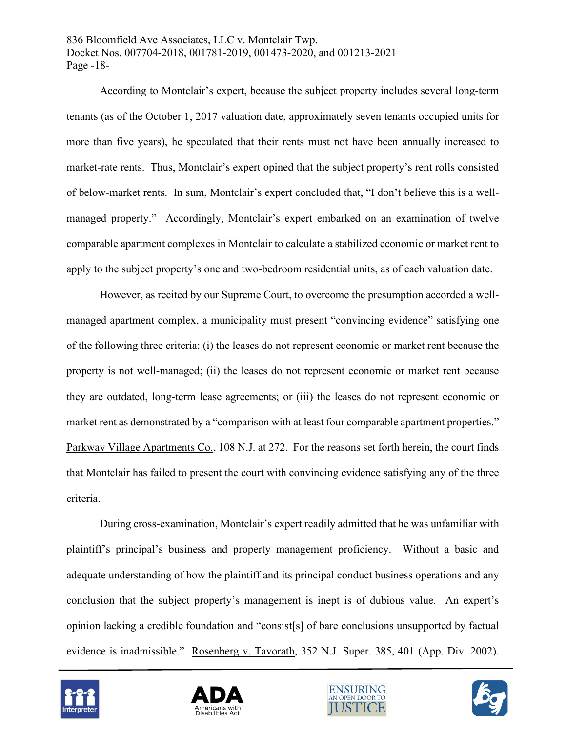836 Bloomfield Ave Associates, LLC v. Montclair Twp. Docket Nos. 007704-2018, 001781-2019, 001473-2020, and 001213-2021 Page -18-

According to Montclair's expert, because the subject property includes several long-term tenants (as of the October 1, 2017 valuation date, approximately seven tenants occupied units for more than five years), he speculated that their rents must not have been annually increased to market-rate rents. Thus, Montclair's expert opined that the subject property's rent rolls consisted of below-market rents. In sum, Montclair's expert concluded that, "I don't believe this is a wellmanaged property." Accordingly, Montclair's expert embarked on an examination of twelve comparable apartment complexes in Montclair to calculate a stabilized economic or market rent to apply to the subject property's one and two-bedroom residential units, as of each valuation date.

However, as recited by our Supreme Court, to overcome the presumption accorded a wellmanaged apartment complex, a municipality must present "convincing evidence" satisfying one of the following three criteria: (i) the leases do not represent economic or market rent because the property is not well-managed; (ii) the leases do not represent economic or market rent because they are outdated, long-term lease agreements; or (iii) the leases do not represent economic or market rent as demonstrated by a "comparison with at least four comparable apartment properties." Parkway Village Apartments Co., 108 N.J. at 272. For the reasons set forth herein, the court finds that Montclair has failed to present the court with convincing evidence satisfying any of the three criteria.

During cross-examination, Montclair's expert readily admitted that he was unfamiliar with plaintiff's principal's business and property management proficiency. Without a basic and adequate understanding of how the plaintiff and its principal conduct business operations and any conclusion that the subject property's management is inept is of dubious value. An expert's opinion lacking a credible foundation and "consist[s] of bare conclusions unsupported by factual evidence is inadmissible." Rosenberg v. Tavorath, 352 N.J. Super. 385, 401 (App. Div. 2002).







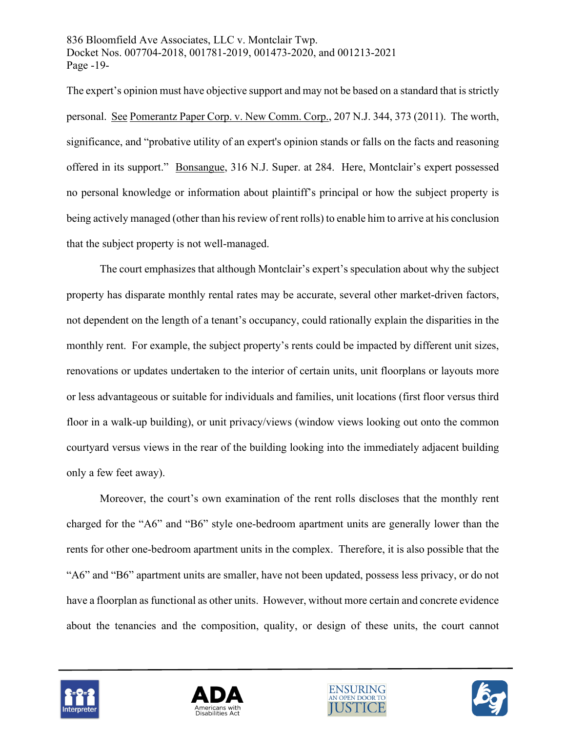836 Bloomfield Ave Associates, LLC v. Montclair Twp. Docket Nos. 007704-2018, 001781-2019, 001473-2020, and 001213-2021 Page -19-

The expert's opinion must have objective support and may not be based on a standard that is strictly personal. See Pomerantz Paper Corp. v. New Comm. Corp., 207 N.J. 344, 373 (2011). The worth, significance, and "probative utility of an expert's opinion stands or falls on the facts and reasoning offered in its support." Bonsangue, 316 N.J. Super. at 284. Here, Montclair's expert possessed no personal knowledge or information about plaintiff's principal or how the subject property is being actively managed (other than his review of rent rolls) to enable him to arrive at his conclusion that the subject property is not well-managed.

The court emphasizes that although Montclair's expert's speculation about why the subject property has disparate monthly rental rates may be accurate, several other market-driven factors, not dependent on the length of a tenant's occupancy, could rationally explain the disparities in the monthly rent. For example, the subject property's rents could be impacted by different unit sizes, renovations or updates undertaken to the interior of certain units, unit floorplans or layouts more or less advantageous or suitable for individuals and families, unit locations (first floor versus third floor in a walk-up building), or unit privacy/views (window views looking out onto the common courtyard versus views in the rear of the building looking into the immediately adjacent building only a few feet away).

Moreover, the court's own examination of the rent rolls discloses that the monthly rent charged for the "A6" and "B6" style one-bedroom apartment units are generally lower than the rents for other one-bedroom apartment units in the complex. Therefore, it is also possible that the "A6" and "B6" apartment units are smaller, have not been updated, possess less privacy, or do not have a floorplan as functional as other units. However, without more certain and concrete evidence about the tenancies and the composition, quality, or design of these units, the court cannot







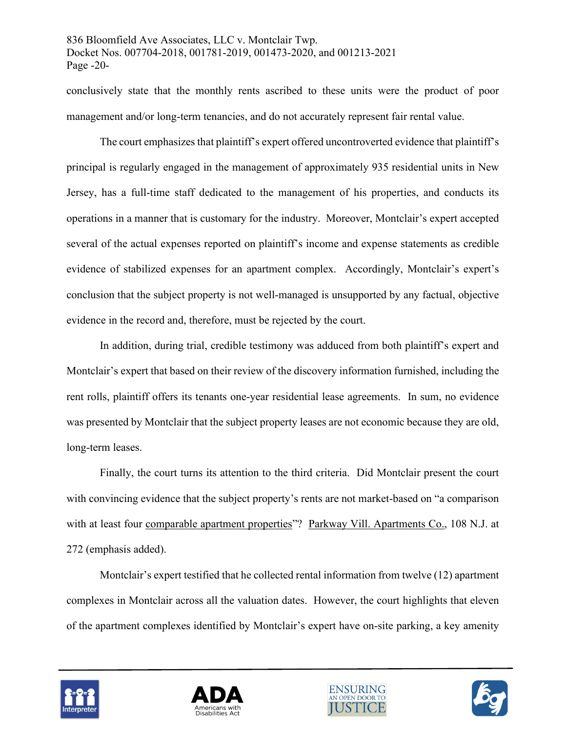conclusively state that the monthly rents ascribed to these units were the product of poor management and/or long-term tenancies, and do not accurately represent fair rental value.

The court emphasizes that plaintiff's expert offered uncontroverted evidence that plaintiff's principal is regularly engaged in the management of approximately 935 residential units in New Jersey, has a full-time staff dedicated to the management of his properties, and conducts its operations in a manner that is customary for the industry. Moreover, Montclair's expert accepted several of the actual expenses reported on plaintiff's income and expense statements as credible evidence of stabilized expenses for an apartment complex. Accordingly, Montclair's expert's conclusion that the subject property is not well-managed is unsupported by any factual, objective evidence in the record and, therefore, must be rejected by the court.

In addition, during trial, credible testimony was adduced from both plaintiff's expert and Montclair's expert that based on their review of the discovery information furnished, including the rent rolls, plaintiff offers its tenants one-year residential lease agreements. In sum, no evidence was presented by Montclair that the subject property leases are not economic because they are old, long-term leases.

Finally, the court turns its attention to the third criteria. Did Montclair present the court with convincing evidence that the subject property's rents are not market-based on "a comparison with at least four comparable apartment properties"? Parkway Vill. Apartments Co., 108 N.J. at 272 (emphasis added).

Montclair's expert testified that he collected rental information from twelve (12) apartment complexes in Montclair across all the valuation dates. However, the court highlights that eleven of the apartment complexes identified by Montclair's expert have on-site parking, a key amenity







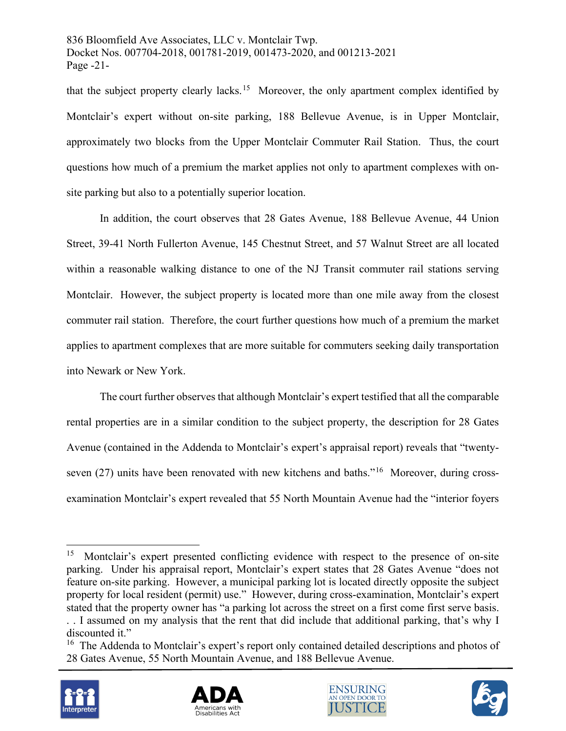836 Bloomfield Ave Associates, LLC v. Montclair Twp. Docket Nos. 007704-2018, 001781-2019, 001473-2020, and 001213-2021 Page -21-

that the subject property clearly lacks.<sup>15</sup> Moreover, the only apartment complex identified by Montclair's expert without on-site parking, 188 Bellevue Avenue, is in Upper Montclair, approximately two blocks from the Upper Montclair Commuter Rail Station. Thus, the court questions how much of a premium the market applies not only to apartment complexes with onsite parking but also to a potentially superior location.

In addition, the court observes that 28 Gates Avenue, 188 Bellevue Avenue, 44 Union Street, 39-41 North Fullerton Avenue, 145 Chestnut Street, and 57 Walnut Street are all located within a reasonable walking distance to one of the NJ Transit commuter rail stations serving Montclair. However, the subject property is located more than one mile away from the closest commuter rail station. Therefore, the court further questions how much of a premium the market applies to apartment complexes that are more suitable for commuters seeking daily transportation into Newark or New York.

The court further observes that although Montclair's expert testified that all the comparable rental properties are in a similar condition to the subject property, the description for 28 Gates Avenue (contained in the Addenda to Montclair's expert's appraisal report) reveals that "twentyseven (27) units have been renovated with new kitchens and baths."<sup>16</sup> Moreover, during crossexamination Montclair's expert revealed that 55 North Mountain Avenue had the "interior foyers

<span id="page-20-1"></span><sup>&</sup>lt;sup>16</sup> The Addenda to Montclair's expert's report only contained detailed descriptions and photos of 28 Gates Avenue, 55 North Mountain Avenue, and 188 Bellevue Avenue.









<span id="page-20-0"></span><sup>&</sup>lt;sup>15</sup> Montclair's expert presented conflicting evidence with respect to the presence of on-site parking. Under his appraisal report, Montclair's expert states that 28 Gates Avenue "does not feature on-site parking. However, a municipal parking lot is located directly opposite the subject property for local resident (permit) use." However, during cross-examination, Montclair's expert stated that the property owner has "a parking lot across the street on a first come first serve basis. . . I assumed on my analysis that the rent that did include that additional parking, that's why I discounted it."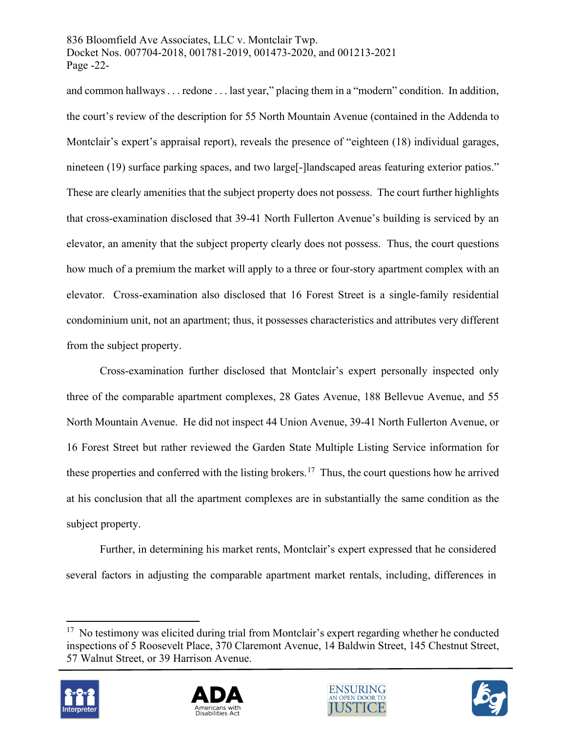### 836 Bloomfield Ave Associates, LLC v. Montclair Twp. Docket Nos. 007704-2018, 001781-2019, 001473-2020, and 001213-2021 Page -22-

and common hallways . . . redone . . . last year," placing them in a "modern" condition. In addition, the court's review of the description for 55 North Mountain Avenue (contained in the Addenda to Montclair's expert's appraisal report), reveals the presence of "eighteen (18) individual garages, nineteen (19) surface parking spaces, and two large<sup>[</sup>-]landscaped areas featuring exterior patios." These are clearly amenities that the subject property does not possess. The court further highlights that cross-examination disclosed that 39-41 North Fullerton Avenue's building is serviced by an elevator, an amenity that the subject property clearly does not possess. Thus, the court questions how much of a premium the market will apply to a three or four-story apartment complex with an elevator. Cross-examination also disclosed that 16 Forest Street is a single-family residential condominium unit, not an apartment; thus, it possesses characteristics and attributes very different from the subject property.

Cross-examination further disclosed that Montclair's expert personally inspected only three of the comparable apartment complexes, 28 Gates Avenue, 188 Bellevue Avenue, and 55 North Mountain Avenue. He did not inspect 44 Union Avenue, 39-41 North Fullerton Avenue, or 16 Forest Street but rather reviewed the Garden State Multiple Listing Service information for these properties and conferred with the listing brokers.<sup>17</sup> Thus, the court questions how he arrived at his conclusion that all the apartment complexes are in substantially the same condition as the subject property.

Further, in determining his market rents, Montclair's expert expressed that he considered several factors in adjusting the comparable apartment market rentals, including, differences in

<span id="page-21-0"></span> $17$  No testimony was elicited during trial from Montclair's expert regarding whether he conducted inspections of 5 Roosevelt Place, 370 Claremont Avenue, 14 Baldwin Street, 145 Chestnut Street, 57 Walnut Street, or 39 Harrison Avenue.







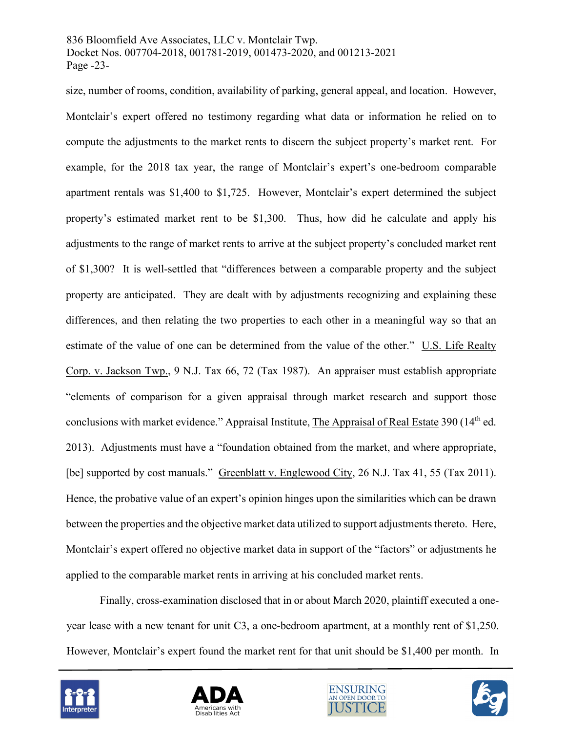#### 836 Bloomfield Ave Associates, LLC v. Montclair Twp. Docket Nos. 007704-2018, 001781-2019, 001473-2020, and 001213-2021 Page -23-

size, number of rooms, condition, availability of parking, general appeal, and location. However, Montclair's expert offered no testimony regarding what data or information he relied on to compute the adjustments to the market rents to discern the subject property's market rent. For example, for the 2018 tax year, the range of Montclair's expert's one-bedroom comparable apartment rentals was \$1,400 to \$1,725. However, Montclair's expert determined the subject property's estimated market rent to be \$1,300. Thus, how did he calculate and apply his adjustments to the range of market rents to arrive at the subject property's concluded market rent of \$1,300? It is well-settled that "differences between a comparable property and the subject property are anticipated. They are dealt with by adjustments recognizing and explaining these differences, and then relating the two properties to each other in a meaningful way so that an estimate of the value of one can be determined from the value of the other." [U.S. Life Realty](https://advance.lexis.com/api/document/collection/cases/id/3SF5-PTV0-000H-S0FG-00000-00?page=72&reporter=3305&context=1000516)  [Corp. v. Jackson Twp., 9 N.J. Tax 66, 72 \(Tax 1987\).](https://advance.lexis.com/api/document/collection/cases/id/3SF5-PTV0-000H-S0FG-00000-00?page=72&reporter=3305&context=1000516) An appraiser must establish appropriate "elements of comparison for a given appraisal through market research and support those conclusions with market evidence." Appraisal Institute, The Appraisal of Real Estate 390 (14<sup>th</sup> ed. 2013). Adjustments must have a "foundation obtained from the market, and where appropriate, [be] supported by cost manuals." Greenblatt v. Englewood City, 26 N.J. Tax 41, 55 (Tax 2011). Hence, the probative value of an expert's opinion hinges upon the similarities which can be drawn between the properties and the objective market data utilized to support adjustments thereto. Here, Montclair's expert offered no objective market data in support of the "factors" or adjustments he applied to the comparable market rents in arriving at his concluded market rents.

Finally, cross-examination disclosed that in or about March 2020, plaintiff executed a oneyear lease with a new tenant for unit C3, a one-bedroom apartment, at a monthly rent of \$1,250. However, Montclair's expert found the market rent for that unit should be \$1,400 per month. In







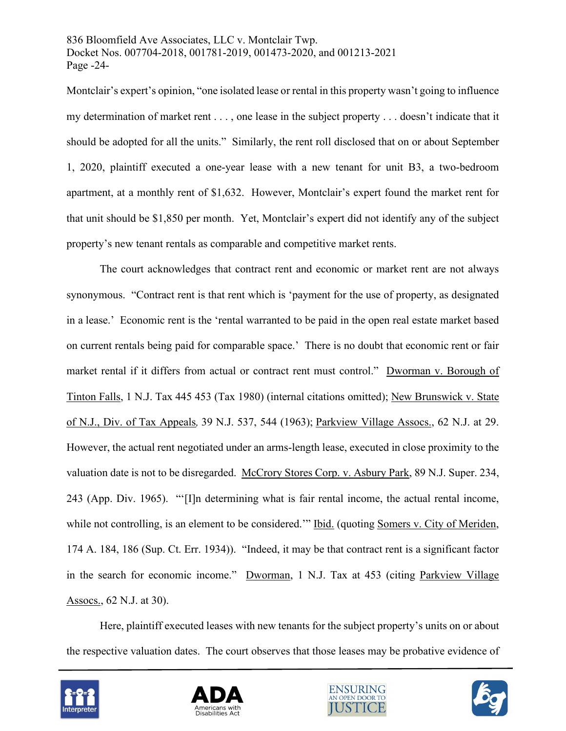836 Bloomfield Ave Associates, LLC v. Montclair Twp. Docket Nos. 007704-2018, 001781-2019, 001473-2020, and 001213-2021 Page -24-

Montclair's expert's opinion, "one isolated lease or rental in this property wasn't going to influence my determination of market rent . . . , one lease in the subject property . . . doesn't indicate that it should be adopted for all the units." Similarly, the rent roll disclosed that on or about September 1, 2020, plaintiff executed a one-year lease with a new tenant for unit B3, a two-bedroom apartment, at a monthly rent of \$1,632. However, Montclair's expert found the market rent for that unit should be \$1,850 per month. Yet, Montclair's expert did not identify any of the subject property's new tenant rentals as comparable and competitive market rents.

The court acknowledges that contract rent and economic or market rent are not always synonymous. "Contract rent is that rent which is 'payment for the use of property, as designated in a lease.' Economic rent is the 'rental warranted to be paid in the open real estate market based on current rentals being paid for comparable space.' There is no doubt that economic rent or fair market rental if it differs from actual or contract rent must control." Dworman v. Borough of Tinton Falls, 1 N.J. Tax 445 453 (Tax 1980) (internal citations omitted); New Brunswick v. State of N.J., Div. of Tax Appeals*,* 39 N.J. 537, 544 (1963); Parkview Village Assocs., 62 N.J. at 29. However, the actual rent negotiated under an arms-length lease, executed in close proximity to the valuation date is not to be disregarded. McCrory Stores Corp. v. Asbury Park, 89 N.J. Super. 234, 243 (App. Div. 1965). "'[I]n determining what is fair rental income, the actual rental income, while not controlling, is an element to be considered." Ibid. (quoting Somers v. City of Meriden, 174 A. 184, 186 (Sup. Ct. Err. 1934)). "Indeed, it may be that contract rent is a significant factor in the search for economic income." Dworman, 1 N.J. Tax at 453 (citing Parkview Village Assocs., 62 N.J. at 30).

Here, plaintiff executed leases with new tenants for the subject property's units on or about the respective valuation dates. The court observes that those leases may be probative evidence of







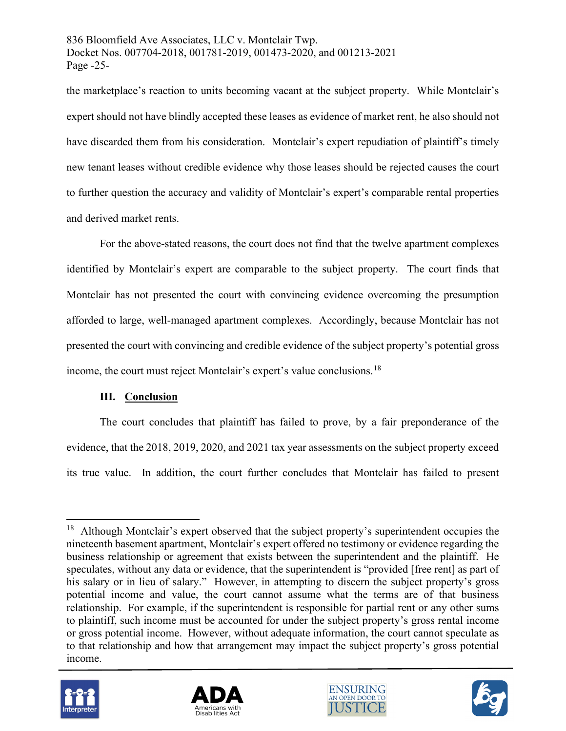836 Bloomfield Ave Associates, LLC v. Montclair Twp. Docket Nos. 007704-2018, 001781-2019, 001473-2020, and 001213-2021 Page -25-

the marketplace's reaction to units becoming vacant at the subject property. While Montclair's expert should not have blindly accepted these leases as evidence of market rent, he also should not have discarded them from his consideration. Montclair's expert repudiation of plaintiff's timely new tenant leases without credible evidence why those leases should be rejected causes the court to further question the accuracy and validity of Montclair's expert's comparable rental properties and derived market rents.

For the above-stated reasons, the court does not find that the twelve apartment complexes identified by Montclair's expert are comparable to the subject property. The court finds that Montclair has not presented the court with convincing evidence overcoming the presumption afforded to large, well-managed apartment complexes. Accordingly, because Montclair has not presented the court with convincing and credible evidence of the subject property's potential gross income, the court must reject Montclair's expert's value conclusions.<sup>18</sup>

### **III. Conclusion**

 The court concludes that plaintiff has failed to prove, by a fair preponderance of the evidence, that the 2018, 2019, 2020, and 2021 tax year assessments on the subject property exceed its true value. In addition, the court further concludes that Montclair has failed to present

<span id="page-24-0"></span><sup>&</sup>lt;sup>18</sup> Although Montclair's expert observed that the subject property's superintendent occupies the nineteenth basement apartment, Montclair's expert offered no testimony or evidence regarding the business relationship or agreement that exists between the superintendent and the plaintiff. He speculates, without any data or evidence, that the superintendent is "provided [free rent] as part of his salary or in lieu of salary." However, in attempting to discern the subject property's gross potential income and value, the court cannot assume what the terms are of that business relationship. For example, if the superintendent is responsible for partial rent or any other sums to plaintiff, such income must be accounted for under the subject property's gross rental income or gross potential income. However, without adequate information, the court cannot speculate as to that relationship and how that arrangement may impact the subject property's gross potential income.